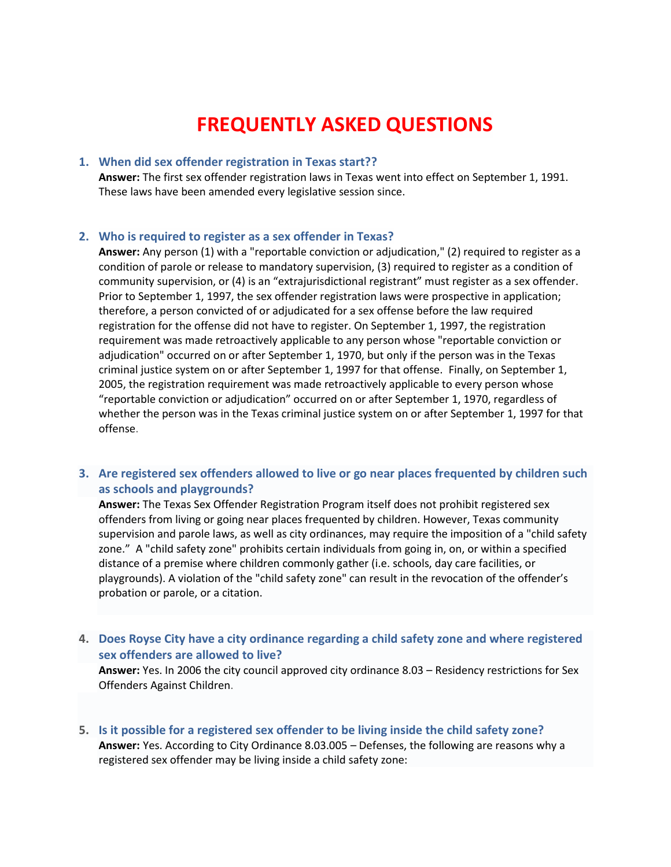# **FREQUENTLY ASKED QUESTIONS**

## **1. When did sex offender registration in Texas start??**

**Answer:** The first sex offender registration laws in Texas went into effect on September 1, 1991. These laws have been amended every legislative session since.

#### **2. Who is required to register as a sex offender in Texas?**

**Answer:** Any person (1) with a "reportable conviction or adjudication," (2) required to register as a condition of parole or release to mandatory supervision, (3) required to register as a condition of community supervision, or (4) is an "extrajurisdictional registrant" must register as a sex offender. Prior to September 1, 1997, the sex offender registration laws were prospective in application; therefore, a person convicted of or adjudicated for a sex offense before the law required registration for the offense did not have to register. On September 1, 1997, the registration requirement was made retroactively applicable to any person whose "reportable conviction or adjudication" occurred on or after September 1, 1970, but only if the person was in the Texas criminal justice system on or after September 1, 1997 for that offense. Finally, on September 1, 2005, the registration requirement was made retroactively applicable to every person whose "reportable conviction or adjudication" occurred on or after September 1, 1970, regardless of whether the person was in the Texas criminal justice system on or after September 1, 1997 for that offense.

## **3. Are registered sex offenders allowed to live or go near places frequented by children such as schools and playgrounds?**

**Answer:** The Texas Sex Offender Registration Program itself does not prohibit registered sex offenders from living or going near places frequented by children. However, Texas community supervision and parole laws, as well as city ordinances, may require the imposition of a "child safety zone." A "child safety zone" prohibits certain individuals from going in, on, or within a specified distance of a premise where children commonly gather (i.e. schools, day care facilities, or playgrounds). A violation of the "child safety zone" can result in the revocation of the offender's probation or parole, or a citation.

**4. Does Royse City have a city ordinance regarding a child safety zone and where registered sex offenders are allowed to live?**

**Answer:** Yes. In 2006 the city council approved city ordinance 8.03 – Residency restrictions for Sex Offenders Against Children.

**5. Is it possible for a registered sex offender to be living inside the child safety zone? Answer:** Yes. According to City Ordinance 8.03.005 – Defenses, the following are reasons why a registered sex offender may be living inside a child safety zone: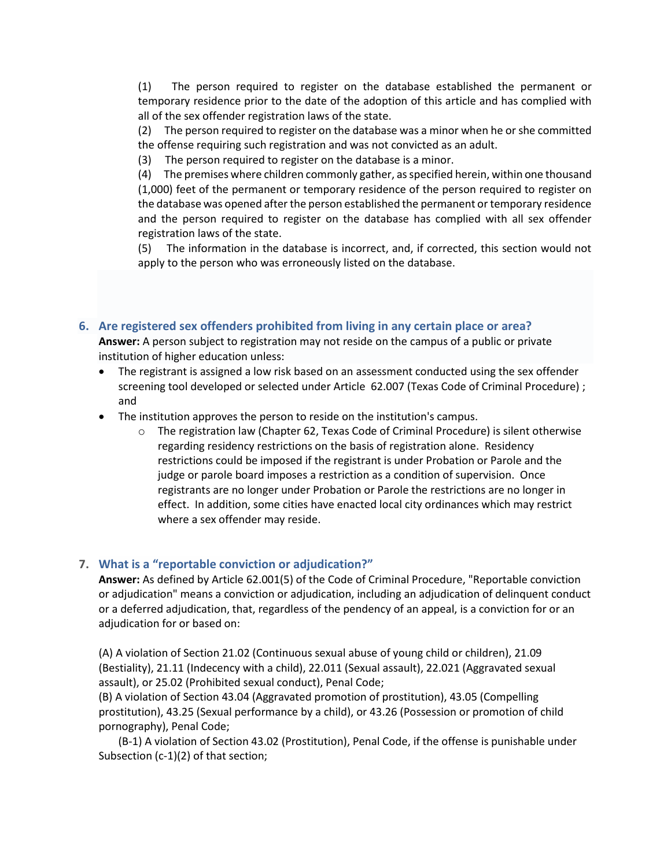(1) The person required to register on the database established the permanent or temporary residence prior to the date of the adoption of this article and has complied with all of the sex offender registration laws of the state.

(2) The person required to register on the database was a minor when he or she committed the offense requiring such registration and was not convicted as an adult.

(3) The person required to register on the database is a minor.

(4) The premises where children commonly gather, as specified herein, within one thousand (1,000) feet of the permanent or temporary residence of the person required to register on the database was opened after the person established the permanent or temporary residence and the person required to register on the database has complied with all sex offender registration laws of the state.

(5) The information in the database is incorrect, and, if corrected, this section would not apply to the person who was erroneously listed on the database.

## **6. Are registered sex offenders prohibited from living in any certain place or area?**

**Answer:** A person subject to registration may not reside on the campus of a public or private institution of higher education unless:

- The registrant is assigned a low risk based on an assessment conducted using the sex offender screening tool developed or selected under Article 62.007 (Texas Code of Criminal Procedure) ; and
- The institution approves the person to reside on the institution's campus.
	- o The registration law (Chapter 62, Texas Code of Criminal Procedure) is silent otherwise regarding residency restrictions on the basis of registration alone. Residency restrictions could be imposed if the registrant is under Probation or Parole and the judge or parole board imposes a restriction as a condition of supervision. Once registrants are no longer under Probation or Parole the restrictions are no longer in effect. In addition, some cities have enacted local city ordinances which may restrict where a sex offender may reside.

## **7. What is a "reportable conviction or adjudication?"**

**Answer:** As defined by Article 62.001(5) of the Code of Criminal Procedure, "Reportable conviction or adjudication" means a conviction or adjudication, including an adjudication of delinquent conduct or a deferred adjudication, that, regardless of the pendency of an appeal, is a conviction for or an adjudication for or based on:

(A) A violation of Section 21.02 (Continuous sexual abuse of young child or children), 21.09 (Bestiality), 21.11 (Indecency with a child), 22.011 (Sexual assault), 22.021 (Aggravated sexual assault), or 25.02 (Prohibited sexual conduct), Penal Code;

(B) A violation of Section 43.04 (Aggravated promotion of prostitution), 43.05 (Compelling prostitution), 43.25 (Sexual performance by a child), or 43.26 (Possession or promotion of child pornography), Penal Code;

(B-1) A violation of Section 43.02 (Prostitution), Penal Code, if the offense is punishable under Subsection (c-1)(2) of that section;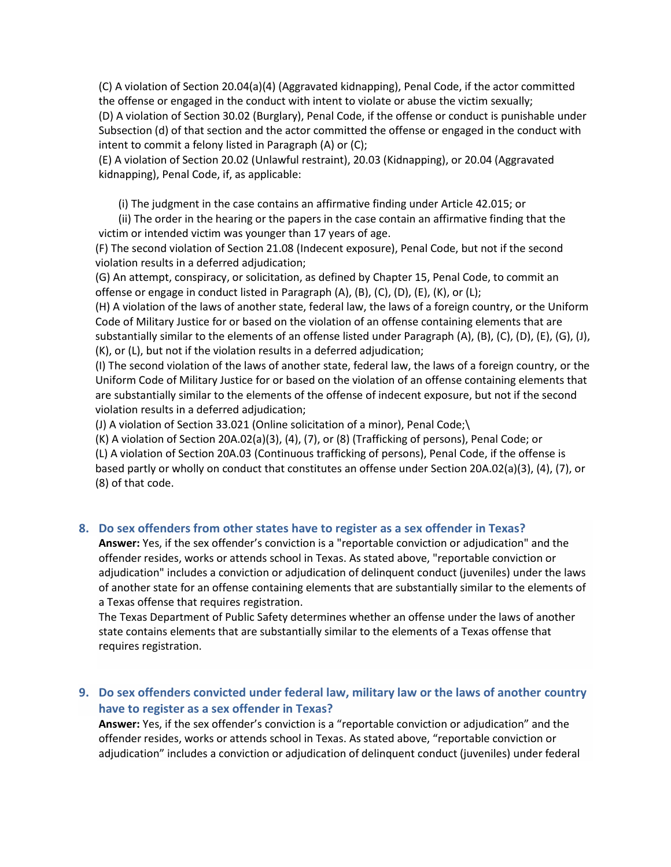(C) A violation of Section 20.04(a)(4) (Aggravated kidnapping), Penal Code, if the actor committed the offense or engaged in the conduct with intent to violate or abuse the victim sexually; (D) A violation of Section 30.02 (Burglary), Penal Code, if the offense or conduct is punishable under Subsection (d) of that section and the actor committed the offense or engaged in the conduct with intent to commit a felony listed in Paragraph (A) or (C);

(E) A violation of Section 20.02 (Unlawful restraint), 20.03 (Kidnapping), or 20.04 (Aggravated kidnapping), Penal Code, if, as applicable:

(i) The judgment in the case contains an affirmative finding under Article 42.015; or

(ii) The order in the hearing or the papers in the case contain an affirmative finding that the victim or intended victim was younger than 17 years of age.

(F) The second violation of Section 21.08 (Indecent exposure), Penal Code, but not if the second violation results in a deferred adjudication;

(G) An attempt, conspiracy, or solicitation, as defined by Chapter 15, Penal Code, to commit an offense or engage in conduct listed in Paragraph (A), (B), (C), (D), (E), (K), or (L);

(H) A violation of the laws of another state, federal law, the laws of a foreign country, or the Uniform Code of Military Justice for or based on the violation of an offense containing elements that are substantially similar to the elements of an offense listed under Paragraph (A), (B), (C), (D), (E), (G), (J), (K), or (L), but not if the violation results in a deferred adjudication;

(I) The second violation of the laws of another state, federal law, the laws of a foreign country, or the Uniform Code of Military Justice for or based on the violation of an offense containing elements that are substantially similar to the elements of the offense of indecent exposure, but not if the second violation results in a deferred adjudication;

(J) A violation of Section 33.021 (Online solicitation of a minor), Penal Code;\

(K) A violation of Section 20A.02(a)(3), (4), (7), or (8) (Trafficking of persons), Penal Code; or (L) A violation of Section 20A.03 (Continuous trafficking of persons), Penal Code, if the offense is based partly or wholly on conduct that constitutes an offense under Section 20A.02(a)(3), (4), (7), or (8) of that code.

## **8. Do sex offenders from other states have to register as a sex offender in Texas?**

**Answer:** Yes, if the sex offender's conviction is a "reportable conviction or adjudication" and the offender resides, works or attends school in Texas. As stated above, "reportable conviction or adjudication" includes a conviction or adjudication of delinquent conduct (juveniles) under the laws of another state for an offense containing elements that are substantially similar to the elements of a Texas offense that requires registration.

The Texas Department of Public Safety determines whether an offense under the laws of another state contains elements that are substantially similar to the elements of a Texas offense that requires registration.

## **9. Do sex offenders convicted under federal law, military law or the laws of another country have to register as a sex offender in Texas?**

**Answer:** Yes, if the sex offender's conviction is a "reportable conviction or adjudication" and the offender resides, works or attends school in Texas. As stated above, "reportable conviction or adjudication" includes a conviction or adjudication of delinquent conduct (juveniles) under federal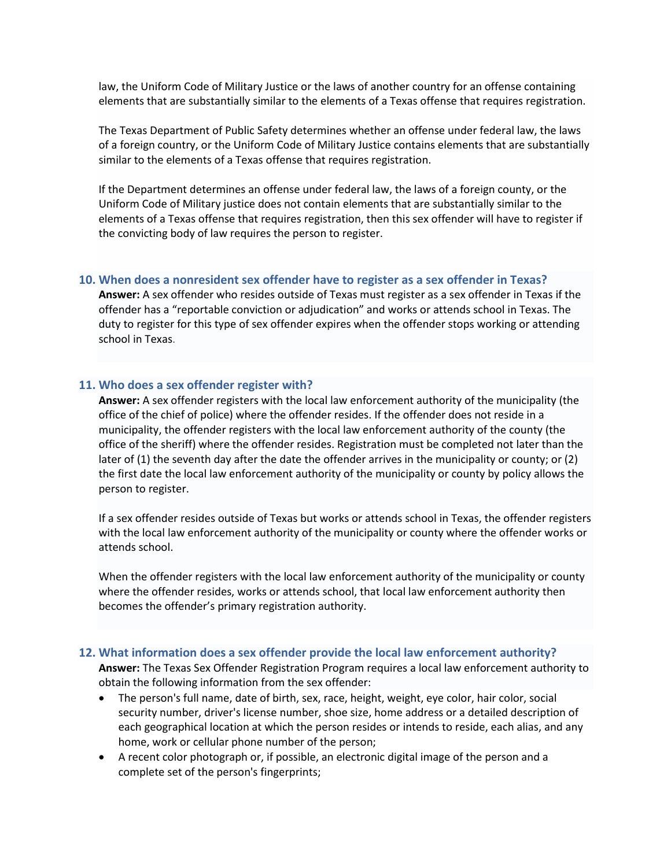law, the Uniform Code of Military Justice or the laws of another country for an offense containing elements that are substantially similar to the elements of a Texas offense that requires registration.

The Texas Department of Public Safety determines whether an offense under federal law, the laws of a foreign country, or the Uniform Code of Military Justice contains elements that are substantially similar to the elements of a Texas offense that requires registration.

If the Department determines an offense under federal law, the laws of a foreign county, or the Uniform Code of Military justice does not contain elements that are substantially similar to the elements of a Texas offense that requires registration, then this sex offender will have to register if the convicting body of law requires the person to register.

#### **10. When does a nonresident sex offender have to register as a sex offender in Texas?**

**Answer:** A sex offender who resides outside of Texas must register as a sex offender in Texas if the offender has a "reportable conviction or adjudication" and works or attends school in Texas. The duty to register for this type of sex offender expires when the offender stops working or attending school in Texas.

#### **11. Who does a sex offender register with?**

**Answer:** A sex offender registers with the local law enforcement authority of the municipality (the office of the chief of police) where the offender resides. If the offender does not reside in a municipality, the offender registers with the local law enforcement authority of the county (the office of the sheriff) where the offender resides. Registration must be completed not later than the later of (1) the seventh day after the date the offender arrives in the municipality or county; or (2) the first date the local law enforcement authority of the municipality or county by policy allows the person to register.

If a sex offender resides outside of Texas but works or attends school in Texas, the offender registers with the local law enforcement authority of the municipality or county where the offender works or attends school.

When the offender registers with the local law enforcement authority of the municipality or county where the offender resides, works or attends school, that local law enforcement authority then becomes the offender's primary registration authority.

#### **12. What information does a sex offender provide the local law enforcement authority?**

**Answer:** The Texas Sex Offender Registration Program requires a local law enforcement authority to obtain the following information from the sex offender:

- The person's full name, date of birth, sex, race, height, weight, eye color, hair color, social security number, driver's license number, shoe size, home address or a detailed description of each geographical location at which the person resides or intends to reside, each alias, and any home, work or cellular phone number of the person;
- A recent color photograph or, if possible, an electronic digital image of the person and a complete set of the person's fingerprints;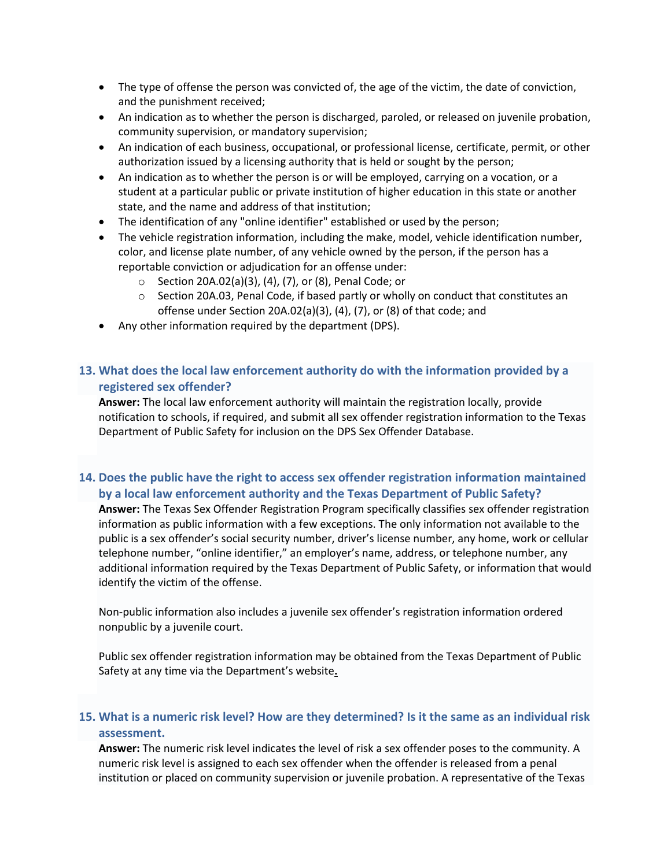- The type of offense the person was convicted of, the age of the victim, the date of conviction, and the punishment received;
- An indication as to whether the person is discharged, paroled, or released on juvenile probation, community supervision, or mandatory supervision;
- An indication of each business, occupational, or professional license, certificate, permit, or other authorization issued by a licensing authority that is held or sought by the person;
- An indication as to whether the person is or will be employed, carrying on a vocation, or a student at a particular public or private institution of higher education in this state or another state, and the name and address of that institution;
- The identification of any "online identifier" established or used by the person;
- The vehicle registration information, including the make, model, vehicle identification number, color, and license plate number, of any vehicle owned by the person, if the person has a reportable conviction or adjudication for an offense under:
	- o Section 20A.02(a)(3), (4), (7), or (8), Penal Code; or
	- $\circ$  Section 20A.03, Penal Code, if based partly or wholly on conduct that constitutes an offense under Section 20A.02(a)(3), (4), (7), or (8) of that code; and
- Any other information required by the department (DPS).

# **13. What does the local law enforcement authority do with the information provided by a registered sex offender?**

**Answer:** The local law enforcement authority will maintain the registration locally, provide notification to schools, if required, and submit all sex offender registration information to the Texas Department of Public Safety for inclusion on the DPS Sex Offender Database.

# **14. Does the public have the right to access sex offender registration information maintained by a local law enforcement authority and the Texas Department of Public Safety?**

**Answer:** The Texas Sex Offender Registration Program specifically classifies sex offender registration information as public information with a few exceptions. The only information not available to the public is a sex offender's social security number, driver's license number, any home, work or cellular telephone number, "online identifier," an employer's name, address, or telephone number, any additional information required by the Texas Department of Public Safety, or information that would identify the victim of the offense.

Non-public information also includes a juvenile sex offender's registration information ordered nonpublic by a juvenile court.

Public sex offender registration information may be obtained from the Texas Department of Public Safety at any time via the Department's website**.**

## **15. What is a numeric risk level? How are they determined? Is it the same as an individual risk assessment.**

**Answer:** The numeric risk level indicates the level of risk a sex offender poses to the community. A numeric risk level is assigned to each sex offender when the offender is released from a penal institution or placed on community supervision or juvenile probation. A representative of the Texas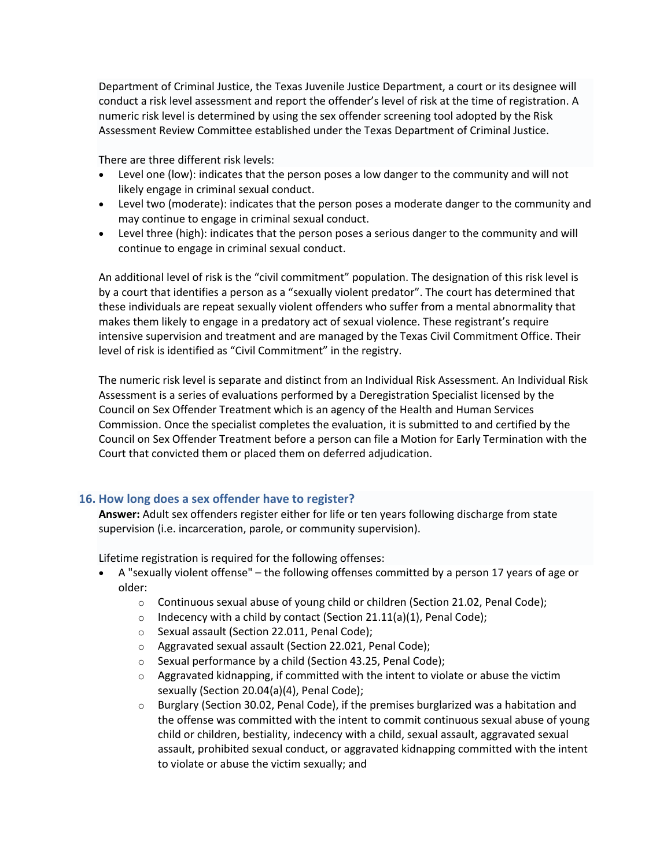Department of Criminal Justice, the Texas Juvenile Justice Department, a court or its designee will conduct a risk level assessment and report the offender's level of risk at the time of registration. A numeric risk level is determined by using the sex offender screening tool adopted by the Risk Assessment Review Committee established under the Texas Department of Criminal Justice.

There are three different risk levels:

- Level one (low): indicates that the person poses a low danger to the community and will not likely engage in criminal sexual conduct.
- Level two (moderate): indicates that the person poses a moderate danger to the community and may continue to engage in criminal sexual conduct.
- Level three (high): indicates that the person poses a serious danger to the community and will continue to engage in criminal sexual conduct.

An additional level of risk is the "civil commitment" population. The designation of this risk level is by a court that identifies a person as a "sexually violent predator". The court has determined that these individuals are repeat sexually violent offenders who suffer from a mental abnormality that makes them likely to engage in a predatory act of sexual violence. These registrant's require intensive supervision and treatment and are managed by the Texas Civil Commitment Office. Their level of risk is identified as "Civil Commitment" in the registry.

The numeric risk level is separate and distinct from an Individual Risk Assessment. An Individual Risk Assessment is a series of evaluations performed by a Deregistration Specialist licensed by the Council on Sex Offender Treatment which is an agency of the Health and Human Services Commission. Once the specialist completes the evaluation, it is submitted to and certified by the Council on Sex Offender Treatment before a person can file a Motion for Early Termination with the Court that convicted them or placed them on deferred adjudication.

## **16. How long does a sex offender have to register?**

**Answer:** Adult sex offenders register either for life or ten years following discharge from state supervision (i.e. incarceration, parole, or community supervision).

Lifetime registration is required for the following offenses:

- A "sexually violent offense" the following offenses committed by a person 17 years of age or older:
	- o Continuous sexual abuse of young child or children (Section 21.02, Penal Code);
	- o Indecency with a child by contact (Section 21.11(a)(1), Penal Code);
	- o Sexual assault (Section 22.011, Penal Code);
	- o Aggravated sexual assault (Section 22.021, Penal Code);
	- o Sexual performance by a child (Section 43.25, Penal Code);
	- $\circ$  Aggravated kidnapping, if committed with the intent to violate or abuse the victim sexually (Section 20.04(a)(4), Penal Code);
	- $\circ$  Burglary (Section 30.02, Penal Code), if the premises burglarized was a habitation and the offense was committed with the intent to commit continuous sexual abuse of young child or children, bestiality, indecency with a child, sexual assault, aggravated sexual assault, prohibited sexual conduct, or aggravated kidnapping committed with the intent to violate or abuse the victim sexually; and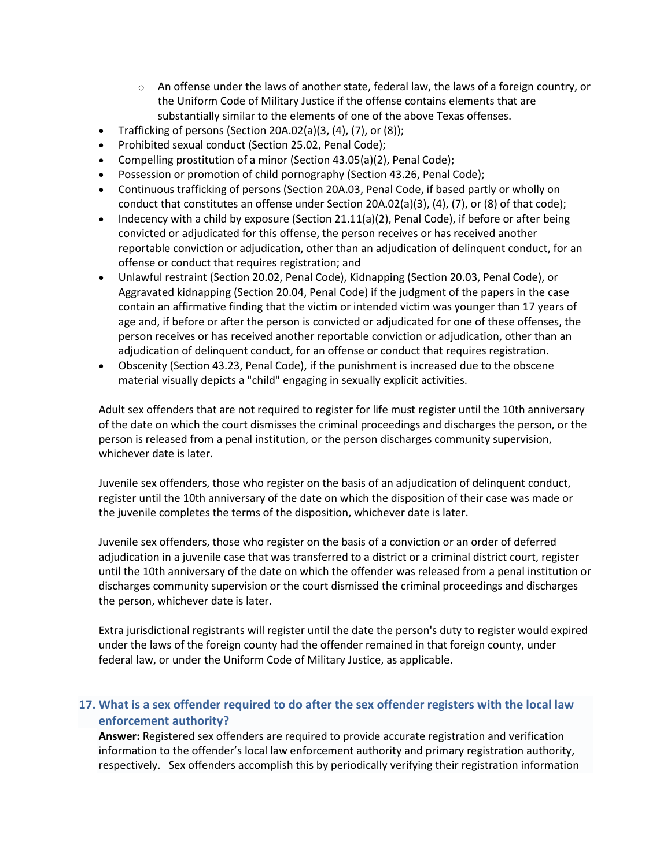- $\circ$  An offense under the laws of another state, federal law, the laws of a foreign country, or the Uniform Code of Military Justice if the offense contains elements that are substantially similar to the elements of one of the above Texas offenses.
- Trafficking of persons (Section 20A.02(a)(3,  $(4)$ ,  $(7)$ , or  $(8)$ );
- Prohibited sexual conduct (Section 25.02, Penal Code);
- Compelling prostitution of a minor (Section 43.05(a)(2), Penal Code);
- Possession or promotion of child pornography (Section 43.26, Penal Code);
- Continuous trafficking of persons (Section 20A.03, Penal Code, if based partly or wholly on conduct that constitutes an offense under Section 20A.02(a)(3), (4), (7), or (8) of that code);
- Indecency with a child by exposure (Section 21.11(a)(2), Penal Code), if before or after being convicted or adjudicated for this offense, the person receives or has received another reportable conviction or adjudication, other than an adjudication of delinquent conduct, for an offense or conduct that requires registration; and
- Unlawful restraint (Section 20.02, Penal Code), Kidnapping (Section 20.03, Penal Code), or Aggravated kidnapping (Section 20.04, Penal Code) if the judgment of the papers in the case contain an affirmative finding that the victim or intended victim was younger than 17 years of age and, if before or after the person is convicted or adjudicated for one of these offenses, the person receives or has received another reportable conviction or adjudication, other than an adjudication of delinquent conduct, for an offense or conduct that requires registration.
- Obscenity (Section 43.23, Penal Code), if the punishment is increased due to the obscene material visually depicts a "child" engaging in sexually explicit activities.

Adult sex offenders that are not required to register for life must register until the 10th anniversary of the date on which the court dismisses the criminal proceedings and discharges the person, or the person is released from a penal institution, or the person discharges community supervision, whichever date is later.

Juvenile sex offenders, those who register on the basis of an adjudication of delinquent conduct, register until the 10th anniversary of the date on which the disposition of their case was made or the juvenile completes the terms of the disposition, whichever date is later.

Juvenile sex offenders, those who register on the basis of a conviction or an order of deferred adjudication in a juvenile case that was transferred to a district or a criminal district court, register until the 10th anniversary of the date on which the offender was released from a penal institution or discharges community supervision or the court dismissed the criminal proceedings and discharges the person, whichever date is later.

Extra jurisdictional registrants will register until the date the person's duty to register would expired under the laws of the foreign county had the offender remained in that foreign county, under federal law, or under the Uniform Code of Military Justice, as applicable.

# **17. What is a sex offender required to do after the sex offender registers with the local law enforcement authority?**

**Answer:** Registered sex offenders are required to provide accurate registration and verification information to the offender's local law enforcement authority and primary registration authority, respectively. Sex offenders accomplish this by periodically verifying their registration information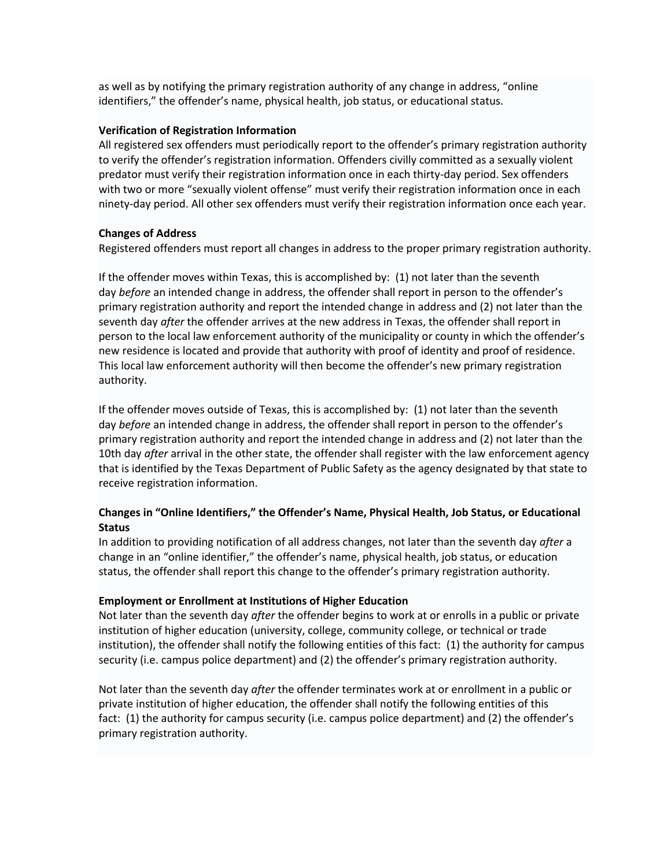as well as by notifying the primary registration authority of any change in address, "online identifiers," the offender's name, physical health, job status, or educational status.

#### **Verification of Registration Information**

All registered sex offenders must periodically report to the offender's primary registration authority to verify the offender's registration information. Offenders civilly committed as a sexually violent predator must verify their registration information once in each thirty-day period. Sex offenders with two or more "sexually violent offense" must verify their registration information once in each ninety-day period. All other sex offenders must verify their registration information once each year.

## **Changes of Address**

Registered offenders must report all changes in address to the proper primary registration authority.

If the offender moves within Texas, this is accomplished by: (1) not later than the seventh day *before* an intended change in address, the offender shall report in person to the offender's primary registration authority and report the intended change in address and (2) not later than the seventh day *after* the offender arrives at the new address in Texas, the offender shall report in person to the local law enforcement authority of the municipality or county in which the offender's new residence is located and provide that authority with proof of identity and proof of residence. This local law enforcement authority will then become the offender's new primary registration authority.

If the offender moves outside of Texas, this is accomplished by: (1) not later than the seventh day *before* an intended change in address, the offender shall report in person to the offender's primary registration authority and report the intended change in address and (2) not later than the 10th day *after* arrival in the other state, the offender shall register with the law enforcement agency that is identified by the Texas Department of Public Safety as the agency designated by that state to receive registration information.

## **Changes in "Online Identifiers," the Offender's Name, Physical Health, Job Status, or Educational Status**

In addition to providing notification of all address changes, not later than the seventh day *after* a change in an "online identifier," the offender's name, physical health, job status, or education status, the offender shall report this change to the offender's primary registration authority.

## **Employment or Enrollment at Institutions of Higher Education**

Not later than the seventh day *after* the offender begins to work at or enrolls in a public or private institution of higher education (university, college, community college, or technical or trade institution), the offender shall notify the following entities of this fact: (1) the authority for campus security (i.e. campus police department) and (2) the offender's primary registration authority.

Not later than the seventh day *after* the offender terminates work at or enrollment in a public or private institution of higher education, the offender shall notify the following entities of this fact: (1) the authority for campus security (i.e. campus police department) and (2) the offender's primary registration authority.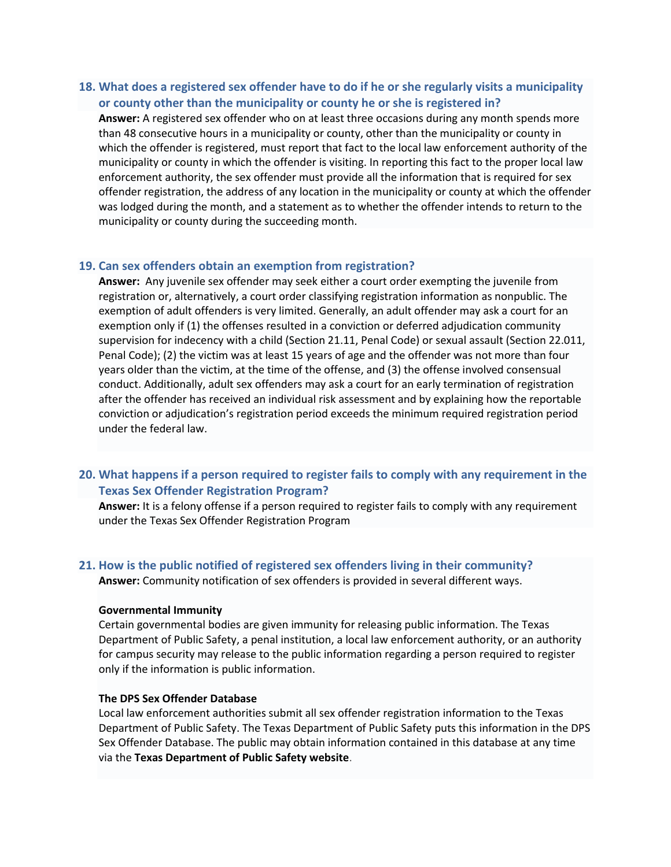## **18. What does a registered sex offender have to do if he or she regularly visits a municipality or county other than the municipality or county he or she is registered in?**

**Answer:** A registered sex offender who on at least three occasions during any month spends more than 48 consecutive hours in a municipality or county, other than the municipality or county in which the offender is registered, must report that fact to the local law enforcement authority of the municipality or county in which the offender is visiting. In reporting this fact to the proper local law enforcement authority, the sex offender must provide all the information that is required for sex offender registration, the address of any location in the municipality or county at which the offender was lodged during the month, and a statement as to whether the offender intends to return to the municipality or county during the succeeding month.

#### **19. Can sex offenders obtain an exemption from registration?**

**Answer:** Any juvenile sex offender may seek either a court order exempting the juvenile from registration or, alternatively, a court order classifying registration information as nonpublic. The exemption of adult offenders is very limited. Generally, an adult offender may ask a court for an exemption only if (1) the offenses resulted in a conviction or deferred adjudication community supervision for indecency with a child (Section 21.11, Penal Code) or sexual assault (Section 22.011, Penal Code); (2) the victim was at least 15 years of age and the offender was not more than four years older than the victim, at the time of the offense, and (3) the offense involved consensual conduct. Additionally, adult sex offenders may ask a court for an early termination of registration after the offender has received an individual risk assessment and by explaining how the reportable conviction or adjudication's registration period exceeds the minimum required registration period under the federal law.

## **20. What happens if a person required to register fails to comply with any requirement in the Texas Sex Offender Registration Program?**

**Answer:** It is a felony offense if a person required to register fails to comply with any requirement under the Texas Sex Offender Registration Program

## **21. How is the public notified of registered sex offenders living in their community?**

**Answer:** Community notification of sex offenders is provided in several different ways.

#### **Governmental Immunity**

Certain governmental bodies are given immunity for releasing public information. The Texas Department of Public Safety, a penal institution, a local law enforcement authority, or an authority for campus security may release to the public information regarding a person required to register only if the information is public information.

## **The DPS Sex Offender Database**

Local law enforcement authorities submit all sex offender registration information to the Texas Department of Public Safety. The Texas Department of Public Safety puts this information in the DPS Sex Offender Database. The public may obtain information contained in this database at any time via the **Texas Department of Public Safety website**.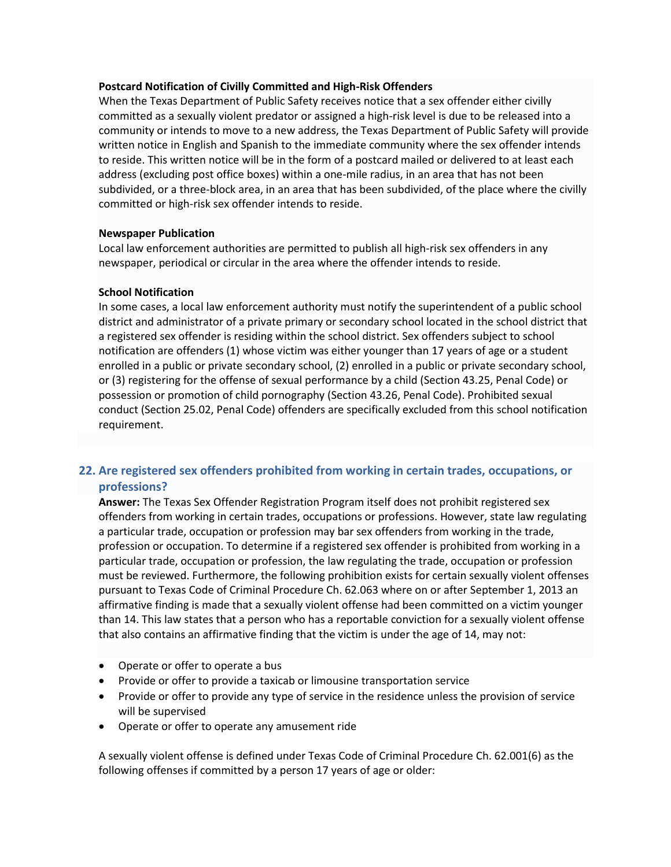#### **Postcard Notification of Civilly Committed and High-Risk Offenders**

When the Texas Department of Public Safety receives notice that a sex offender either civilly committed as a sexually violent predator or assigned a high-risk level is due to be released into a community or intends to move to a new address, the Texas Department of Public Safety will provide written notice in English and Spanish to the immediate community where the sex offender intends to reside. This written notice will be in the form of a postcard mailed or delivered to at least each address (excluding post office boxes) within a one-mile radius, in an area that has not been subdivided, or a three-block area, in an area that has been subdivided, of the place where the civilly committed or high-risk sex offender intends to reside.

## **Newspaper Publication**

Local law enforcement authorities are permitted to publish all high-risk sex offenders in any newspaper, periodical or circular in the area where the offender intends to reside.

#### **School Notification**

In some cases, a local law enforcement authority must notify the superintendent of a public school district and administrator of a private primary or secondary school located in the school district that a registered sex offender is residing within the school district. Sex offenders subject to school notification are offenders (1) whose victim was either younger than 17 years of age or a student enrolled in a public or private secondary school, (2) enrolled in a public or private secondary school, or (3) registering for the offense of sexual performance by a child (Section 43.25, Penal Code) or possession or promotion of child pornography (Section 43.26, Penal Code). Prohibited sexual conduct (Section 25.02, Penal Code) offenders are specifically excluded from this school notification requirement.

# **22. Are registered sex offenders prohibited from working in certain trades, occupations, or professions?**

**Answer:** The Texas Sex Offender Registration Program itself does not prohibit registered sex offenders from working in certain trades, occupations or professions. However, state law regulating a particular trade, occupation or profession may bar sex offenders from working in the trade, profession or occupation. To determine if a registered sex offender is prohibited from working in a particular trade, occupation or profession, the law regulating the trade, occupation or profession must be reviewed. Furthermore, the following prohibition exists for certain sexually violent offenses pursuant to Texas Code of Criminal Procedure Ch. 62.063 where on or after September 1, 2013 an affirmative finding is made that a sexually violent offense had been committed on a victim younger than 14. This law states that a person who has a reportable conviction for a sexually violent offense that also contains an affirmative finding that the victim is under the age of 14, may not:

- Operate or offer to operate a bus
- Provide or offer to provide a taxicab or limousine transportation service
- Provide or offer to provide any type of service in the residence unless the provision of service will be supervised
- Operate or offer to operate any amusement ride

A sexually violent offense is defined under Texas Code of Criminal Procedure Ch. 62.001(6) as the following offenses if committed by a person 17 years of age or older: